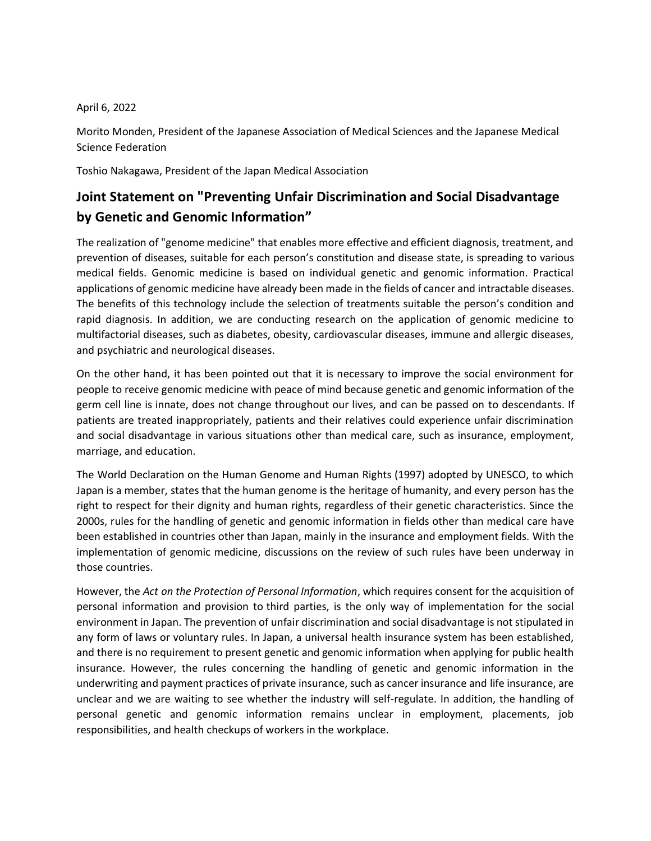## April 6, 2022

Morito Monden, President of the Japanese Association of Medical Sciences and the Japanese Medical Science Federation

Toshio Nakagawa, President of the Japan Medical Association

## **Joint Statement on "Preventing Unfair Discrimination and Social Disadvantage by Genetic and Genomic Information"**

The realization of "genome medicine" that enables more effective and efficient diagnosis, treatment, and prevention of diseases, suitable for each person's constitution and disease state, is spreading to various medical fields. Genomic medicine is based on individual genetic and genomic information. Practical applications of genomic medicine have already been made in the fields of cancer and intractable diseases. The benefits of this technology include the selection of treatments suitable the person's condition and rapid diagnosis. In addition, we are conducting research on the application of genomic medicine to multifactorial diseases, such as diabetes, obesity, cardiovascular diseases, immune and allergic diseases, and psychiatric and neurological diseases.

On the other hand, it has been pointed out that it is necessary to improve the social environment for people to receive genomic medicine with peace of mind because genetic and genomic information of the germ cell line is innate, does not change throughout our lives, and can be passed on to descendants. If patients are treated inappropriately, patients and their relatives could experience unfair discrimination and social disadvantage in various situations other than medical care, such as insurance, employment, marriage, and education.

The World Declaration on the Human Genome and Human Rights (1997) adopted by UNESCO, to which Japan is a member, states that the human genome is the heritage of humanity, and every person has the right to respect for their dignity and human rights, regardless of their genetic characteristics. Since the 2000s, rules for the handling of genetic and genomic information in fields other than medical care have been established in countries other than Japan, mainly in the insurance and employment fields. With the implementation of genomic medicine, discussions on the review of such rules have been underway in those countries.

However, the *Act on the Protection of Personal Information*, which requires consent for the acquisition of personal information and provision to third parties, is the only way of implementation for the social environment in Japan. The prevention of unfair discrimination and social disadvantage is not stipulated in any form of laws or voluntary rules. In Japan, a universal health insurance system has been established, and there is no requirement to present genetic and genomic information when applying for public health insurance. However, the rules concerning the handling of genetic and genomic information in the underwriting and payment practices of private insurance, such as cancer insurance and life insurance, are unclear and we are waiting to see whether the industry will self-regulate. In addition, the handling of personal genetic and genomic information remains unclear in employment, placements, job responsibilities, and health checkups of workers in the workplace.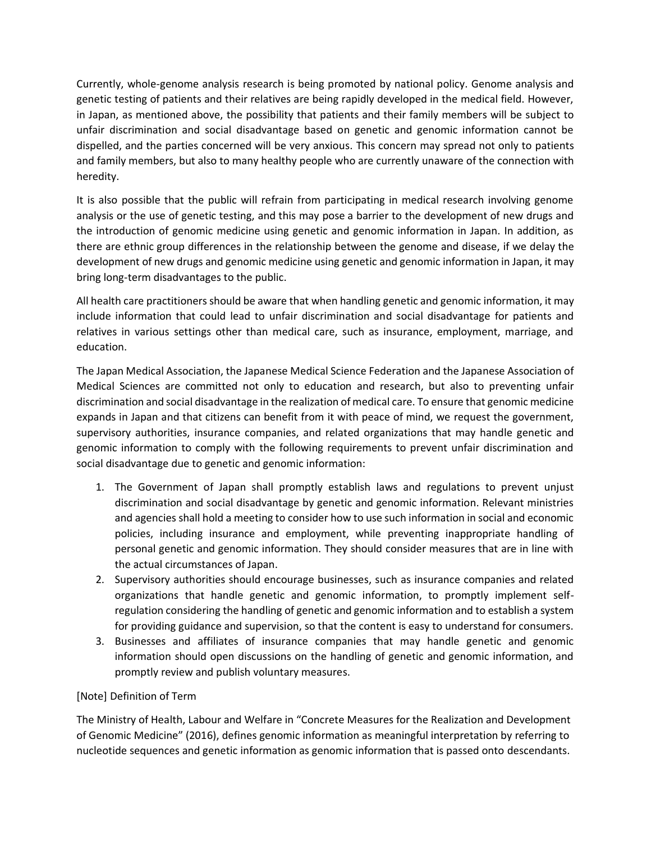Currently, whole-genome analysis research is being promoted by national policy. Genome analysis and genetic testing of patients and their relatives are being rapidly developed in the medical field. However, in Japan, as mentioned above, the possibility that patients and their family members will be subject to unfair discrimination and social disadvantage based on genetic and genomic information cannot be dispelled, and the parties concerned will be very anxious. This concern may spread not only to patients and family members, but also to many healthy people who are currently unaware of the connection with heredity.

It is also possible that the public will refrain from participating in medical research involving genome analysis or the use of genetic testing, and this may pose a barrier to the development of new drugs and the introduction of genomic medicine using genetic and genomic information in Japan. In addition, as there are ethnic group differences in the relationship between the genome and disease, if we delay the development of new drugs and genomic medicine using genetic and genomic information in Japan, it may bring long-term disadvantages to the public.

All health care practitioners should be aware that when handling genetic and genomic information, it may include information that could lead to unfair discrimination and social disadvantage for patients and relatives in various settings other than medical care, such as insurance, employment, marriage, and education.

The Japan Medical Association, the Japanese Medical Science Federation and the Japanese Association of Medical Sciences are committed not only to education and research, but also to preventing unfair discrimination and social disadvantage in the realization of medical care. To ensure that genomic medicine expands in Japan and that citizens can benefit from it with peace of mind, we request the government, supervisory authorities, insurance companies, and related organizations that may handle genetic and genomic information to comply with the following requirements to prevent unfair discrimination and social disadvantage due to genetic and genomic information:

- 1. The Government of Japan shall promptly establish laws and regulations to prevent unjust discrimination and social disadvantage by genetic and genomic information. Relevant ministries and agencies shall hold a meeting to consider how to use such information in social and economic policies, including insurance and employment, while preventing inappropriate handling of personal genetic and genomic information. They should consider measures that are in line with the actual circumstances of Japan.
- 2. Supervisory authorities should encourage businesses, such as insurance companies and related organizations that handle genetic and genomic information, to promptly implement selfregulation considering the handling of genetic and genomic information and to establish a system for providing guidance and supervision, so that the content is easy to understand for consumers.
- 3. Businesses and affiliates of insurance companies that may handle genetic and genomic information should open discussions on the handling of genetic and genomic information, and promptly review and publish voluntary measures.

## [Note] Definition of Term

The Ministry of Health, Labour and Welfare in "Concrete Measures for the Realization and Development of Genomic Medicine" (2016), defines genomic information as meaningful interpretation by referring to nucleotide sequences and genetic information as genomic information that is passed onto descendants.